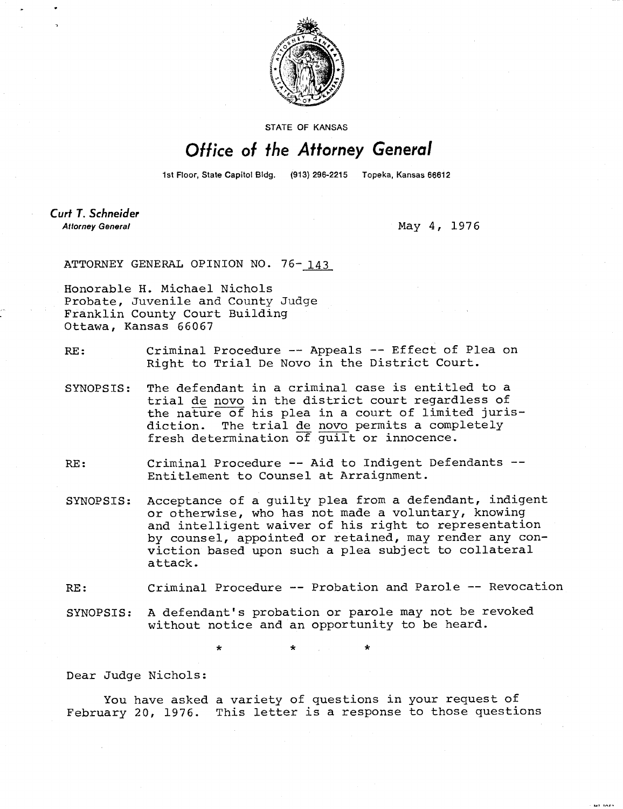

STATE OF KANSAS

## Office of the Attorney General

1st Floor, State Capitol Bldg. (913) 296-2215 Topeka, Kansas 66612

Curt T. Schneider **Attorney General** 

May 4, 1976

ATTORNEY GENERAL OPINION NO. 76-143

Honorable H. Michael Nichols Probate, Juvenile and County Judge Franklin County Court Building Ottawa, Kansas 66067

RE: Criminal Procedure -- Appeals -- Effect of Plea on Right to Trial De Novo in the District Court.

- SYNOPSIS: The defendant in a criminal case is entitled to a trial de novo in the district court regardless of the nature of his plea in a court of limited jurisdiction. The trial de novo permits a completely fresh determination of guilt or innocence.
- RE: Criminal Procedure -- Aid to Indigent Defendants --Entitlement to Counsel at Arraignment.
- SYNOPSIS: Acceptance of a guilty plea from a defendant, indigent or otherwise, who has not made a voluntary, knowing and intelligent waiver of his right to representation by counsel, appointed or retained, may render any conviction based upon such a plea subject to collateral attack.

RE: Criminal Procedure -- Probation and Parole -- Revocation

SYNOPSIS: A defendant's probation or parole may not be revoked without notice and an opportunity to be heard.

\*

Dear Judge Nichols:

You have asked a variety of questions in your request of February 20, 1976. This letter is a response to those questions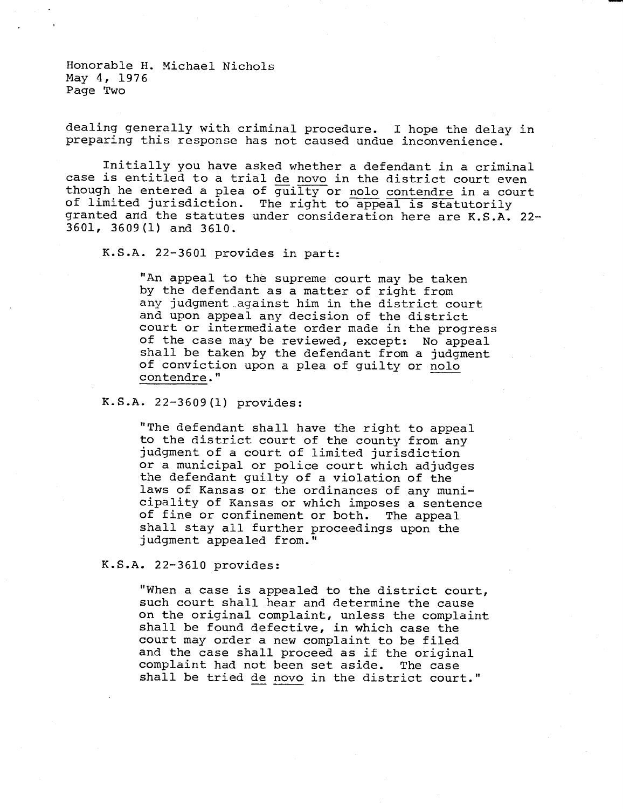Honorable H. Michael Nichols May 4, 1976 Page Two

dealing generally with criminal procedure. I hope the delay in preparing this response has not caused undue inconvenience.

Initially you have asked whether a defendant in a criminal case is entitled to a trial de novo in the district court even though he entered a plea of guilty or nolo contendre in a court of limited jurisdiction. The right to appeal is statutorily granted and the statutes under consideration here are K.S.A. 22- 3601, 3609(1) and 3610.

K.S.A. 22-3601 provides in part:

"An appeal to the supreme court may be taken by the defendant as a matter of right from any judgment against him in the district court and upon appeal any decision of the district court or intermediate order made in the progress of the case may be reviewed, except: No appeal shall be taken by the defendant from a judgment of conviction upon a plea of guilty or nolo contendre."

K.S.A. 22-3609(1) provides:

"The defendant shall have the right to appeal to the district court of the county from any judgment of a court of limited jurisdiction or a municipal or police court which adjudges the defendant guilty of a violation of the laws of Kansas or the ordinances of any municipality of Kansas or which imposes a sentence of fine or confinement or both. The appeal shall stay all further proceedings upon the judgment appealed from."

## K.S.A. 22-3610 provides:

"When a case is appealed to the district court, such court shall hear and determine the cause on the original complaint, unless the complaint shall be found defective, in which case the court may order a new complaint to be filed and the case shall proceed as if the original complaint had not been set aside. The case shall be tried de novo in the district court."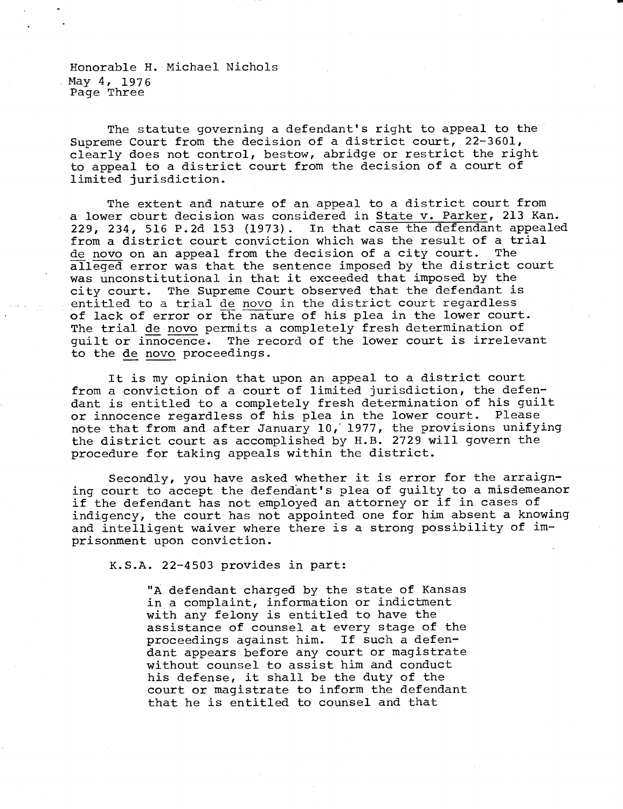Honorable H. Michael Nichols May 4, 1976. Page Three

The statute governing a defendant's right to appeal to the Supreme Court from the decision of a district court, 22-3601, clearly does not control, bestow, abridge or restrict the right to appeal to a district court from the decision of a court of limited jurisdiction.

The extent and nature of an appeal to a district court from a lower court decision was considered in State v. Parker, 213 Kan. 229, 234, 516 P.2d 153 (1973). In that case the defendant appealed from a district court conviction which was the result of a trial de novo on an appeal from the decision of a city court. The alleged error was that the sentence imposed by the district court was unconstitutional in that it exceeded that imposed by the city court. The Supreme Court observed that the defendant is entitled to a trial de novo in the district court regardless of lack of error or the nature of his plea in the lower court. The trial de novo permits a completely fresh determination of guilt or innocence. The record of the lower court is irrelevant to the de novo proceedings.

It is my opinion that upon an appeal to a district court from a conviction of a court of limited jurisdiction, the defendant is entitled to a completely fresh determination of his guilt or innocence regardless of his plea in the lower court. Please note that from and after January 10,'1977, the provisions unifying the district court as accomplished by H.B. 2729 will govern the procedure for taking appeals within the district.

Secondly, you have asked whether it is error for the arraigning court to accept the defendant's plea of guilty to a misdemeanor if the defendant has not employed an attorney or if in cases of indigency, the court has not appointed one for him absent a knowing and intelligent waiver where there is a strong possibility of imprisonment upon conviction.

K.S.A. 22-4503 provides in part:

"A defendant charged by the state of Kansas in a complaint, information or indictment with any felony is entitled to have the assistance of counsel at every stage of the proceedings against him. If such a defendant appears before any court or magistrate without counsel to assist him and conduct his defense, it shall be the duty of the court or magistrate to inform the defendant that he is entitled to counsel and that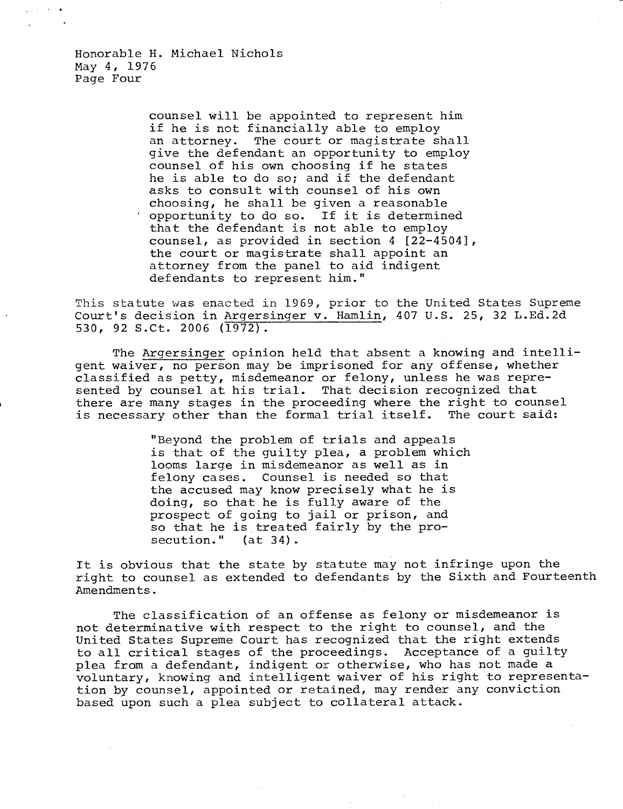Honorable H. Michael Nichols May 4, 1976 Page Four

> counsel will be appointed to represent him if he is not financially able to employ<br>an attorney. The court or magistrate sh The court or magistrate shall give the defendant an opportunity to employ counsel of his own choosing if he states he is able to do so; and if the defendant asks to consult with counsel of his own choosing, he shall be given a reasonable opportunity to do so. If it is determined that the defendant is not able to employ counsel, as provided in section 4 [22-4504], the court or magistrate shall appoint an attorney from the panel to aid indigent defendants to represent him."

This statute was enacted in 1969, prior to the United States Supreme Court's decision in Argersinger v. Hamlin, 407 U.S. 25, 32 L.Ed.2d 530, 92 S.Ct. 2006 (1972).

The Argersinger opinion held that absent a knowing and intelligent waiver, no person may be imprisoned for any offense, whether classified as petty, misdemeanor or felony, unless he was represented by counsel at his trial. That decision recognized that there are many stages in the proceeding where the right to counsel is necessary other than the formal trial itself. The court said:

> "Beyond the problem of trials and appeals is that of the guilty plea, a problem which looms large in misdemeanor as well as in felony cases. Counsel is needed so that the accused may know precisely what he is doing, so that he is fully aware of the prospect of going to jail or prison, and so that he is treated fairly by the prosecution." (at 34).

It is obvious that the state by statute may not infringe upon the right to counsel as extended to defendants by the Sixth and Fourteenth Amendments.

The classification of an offense as felony or misdemeanor is not determinative with respect to the right to counsel, and the United States Supreme Court has recognized that the right extends to all critical stages of the proceedings. Acceptance of a guilty plea from a defendant, indigent or otherwise, who has not made a voluntary, knowing and intelligent waiver of his right to representation by counsel, appointed or retained, may render any conviction based upon such a plea subject to collateral attack.